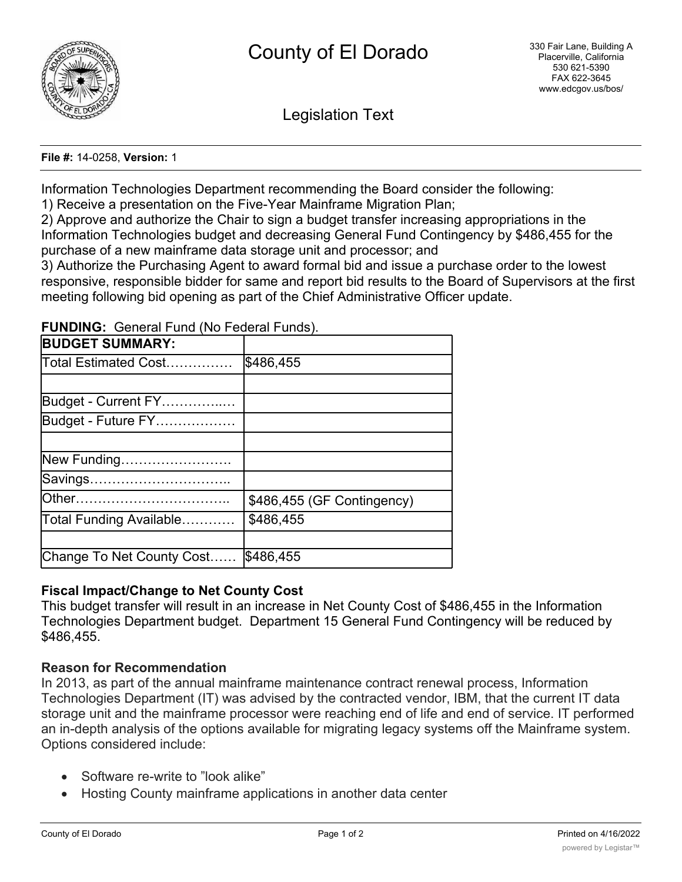

Legislation Text

**File #:** 14-0258, **Version:** 1

Information Technologies Department recommending the Board consider the following:

1) Receive a presentation on the Five-Year Mainframe Migration Plan;

2) Approve and authorize the Chair to sign a budget transfer increasing appropriations in the Information Technologies budget and decreasing General Fund Contingency by \$486,455 for the purchase of a new mainframe data storage unit and processor; and

3) Authorize the Purchasing Agent to award formal bid and issue a purchase order to the lowest responsive, responsible bidder for same and report bid results to the Board of Supervisors at the first meeting following bid opening as part of the Chief Administrative Officer update.

**FUNDING:** General Fund (No Federal Funds).

| <b>BUDGET SUMMARY:</b>      |                            |
|-----------------------------|----------------------------|
| Total Estimated Cost        | \$486,455                  |
|                             |                            |
| Budget - Current FY         |                            |
| Budget - Future FY          |                            |
|                             |                            |
| New Funding                 |                            |
| Savings                     |                            |
|                             | \$486,455 (GF Contingency) |
| Total Funding Available………… | \$486,455                  |
|                             |                            |
| Change To Net County Cost   | \$486,455                  |

## **Fiscal Impact/Change to Net County Cost**

This budget transfer will result in an increase in Net County Cost of \$486,455 in the Information Technologies Department budget. Department 15 General Fund Contingency will be reduced by \$486,455.

## **Reason for Recommendation**

In 2013, as part of the annual mainframe maintenance contract renewal process, Information Technologies Department (IT) was advised by the contracted vendor, IBM, that the current IT data storage unit and the mainframe processor were reaching end of life and end of service. IT performed an in-depth analysis of the options available for migrating legacy systems off the Mainframe system. Options considered include:

- · Software re-write to "look alike"
- · Hosting County mainframe applications in another data center